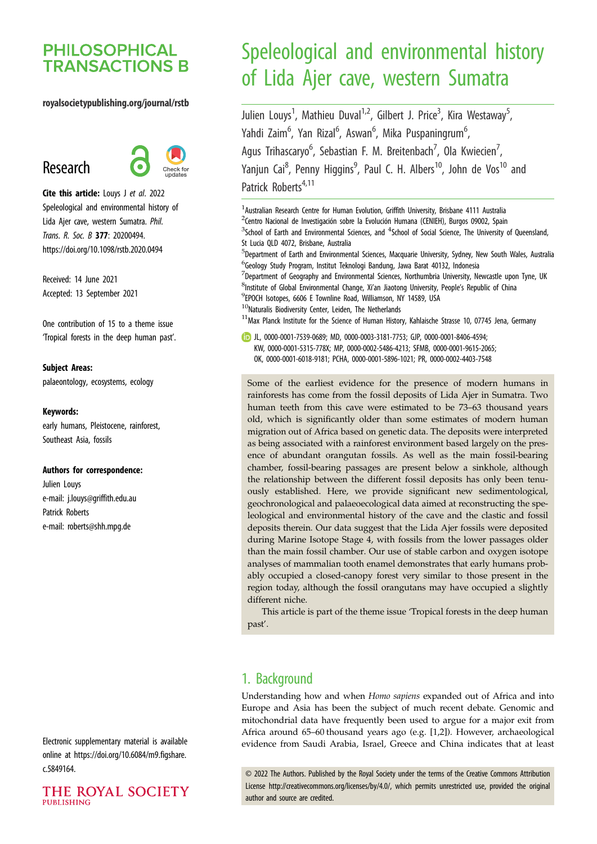# **PHILOSOPHICAL TRANSACTIONS B**

#### royalsocietypublishing.org/journal/rstb

# Research



Cite this article: Louys J et al. 2022 Speleological and environmental history of Lida Ajer cave, western Sumatra. Phil. Trans. R. Soc. B 377: 20200494. https://doi.org/10.1098/rstb.2020.0494

Received: 14 June 2021 Accepted: 13 September 2021

One contribution of 15 to a theme issue 'Tropical forests in the deep human past'.

#### Subject Areas:

palaeontology, ecosystems, ecology

#### Keywords:

early humans, Pleistocene, rainforest, Southeast Asia, fossils

#### Authors for correspondence:

Julien Louys e-mail: [j.louys@griffith.edu.au](mailto:j.louys@griffith.edu.au) Patrick Roberts e-mail: [roberts@shh.mpg.de](mailto:roberts@shh.mpg.de)

Electronic supplementary material is available online at [https://doi.org/10.6084/m9.figshare.](https://doi.org/10.6084/m9.figshare.c.5849164) [c.5849164.](https://doi.org/10.6084/m9.figshare.c.5849164)

#### THE ROYAL SOCIETY **PUBLISHING**

# Speleological and environmental history of Lida Ajer cave, western Sumatra

Julien Louys<sup>1</sup>, Mathieu Duval<sup>1,2</sup>, Gilbert J. Price<sup>3</sup>, Kira Westaway<sup>5</sup> , Yahdi Zaim<sup>6</sup>, Yan Rizal<sup>6</sup>, Aswan<sup>6</sup>, Mika Puspaningrum<sup>6</sup> , Agus Trihascaryo<sup>6</sup>, Sebastian F. M. Breitenbach<sup>7</sup>, Ola Kwiecien<sup>7</sup> , Yanjun Cai<sup>8</sup>, Penny Higgins<sup>9</sup>, Paul C. H. Albers<sup>10</sup>, John de Vos<sup>10</sup> and Patrick Roberts<sup>4,11</sup>

<sup>1</sup> Australian Research Centre for Human Evolution, Griffith University, Brisbane 4111 Australia <sup>2</sup>Centro Nacional de Investigación sobre la Evolución Humana (CENIEH), Burgos 09002, Spain  $3$ School of Earth and Environmental Sciences, and  $4$ School of Social Science, The University of Queensland, St Lucia QLD 4072, Brisbane, Australia <sup>5</sup>Department of Earth and Environmental Sciences, Macquarie University, Sydney, New South Wales, Australia 6 Geology Study Program, Institut Teknologi Bandung, Jawa Barat 40132, Indonesia  $^7$ Department of Geography and Environmental Sciences, Northumbria University, Newcastle upon Tyne, UK <sup>8</sup>Institute of Global Environmental Change, Xi'an Jiaotong University, People's Republic of China 9 EPOCH Isotopes, 6606 E Townline Road, Williamson, NY 14589, USA <sup>10</sup>Naturalis Biodiversity Center, Leiden, The Netherlands

 $11$ Max Planck Institute for the Science of Human History, Kahlaische Strasse 10, 07745 Jena, Germany

JL, [0000-0001-7539-0689;](http://orcid.org/0000-0001-7539-0689) MD, [0000-0003-3181-7753;](https://orcid.org/0000-0003-3181-7753) GJP, [0000-0001-8406-4594;](http://orcid.org/0000-0001-8406-4594) KW, [0000-0001-5315-778X](https://orcid.org/0000-0001-5315-778X); MP, [0000-0002-5486-4213;](https://orcid.org/0000-0002-5486-4213) SFMB, [0000-0001-9615-2065](https://orcid.org/0000-0001-9615-2065); OK, [0000-0001-6018-9181](https://orcid.org/0000-0001-6018-9181); PCHA, [0000-0001-5896-1021](http://orcid.org/0000-0001-5896-1021); PR, [0000-0002-4403-7548](http://orcid.org/0000-0002-4403-7548)

Some of the earliest evidence for the presence of modern humans in rainforests has come from the fossil deposits of Lida Ajer in Sumatra. Two human teeth from this cave were estimated to be 73–63 thousand years old, which is significantly older than some estimates of modern human migration out of Africa based on genetic data. The deposits were interpreted as being associated with a rainforest environment based largely on the presence of abundant orangutan fossils. As well as the main fossil-bearing chamber, fossil-bearing passages are present below a sinkhole, although the relationship between the different fossil deposits has only been tenuously established. Here, we provide significant new sedimentological, geochronological and palaeoecological data aimed at reconstructing the speleological and environmental history of the cave and the clastic and fossil deposits therein. Our data suggest that the Lida Ajer fossils were deposited during Marine Isotope Stage 4, with fossils from the lower passages older than the main fossil chamber. Our use of stable carbon and oxygen isotope analyses of mammalian tooth enamel demonstrates that early humans probably occupied a closed-canopy forest very similar to those present in the region today, although the fossil orangutans may have occupied a slightly different niche.

This article is part of the theme issue 'Tropical forests in the deep human past'.

# 1. Background

Understanding how and when Homo sapiens expanded out of Africa and into Europe and Asia has been the subject of much recent debate. Genomic and mitochondrial data have frequently been used to argue for a major exit from Africa around 65–60 thousand years ago (e.g. [[1](#page-8-0),[2](#page-8-0)]). However, archaeological evidence from Saudi Arabia, Israel, Greece and China indicates that at least

© 2022 The Authors. Published by the Royal Society under the terms of the Creative Commons Attribution License<http://creativecommons.org/licenses/by/4.0/>, which permits unrestricted use, provided the original author and source are credited.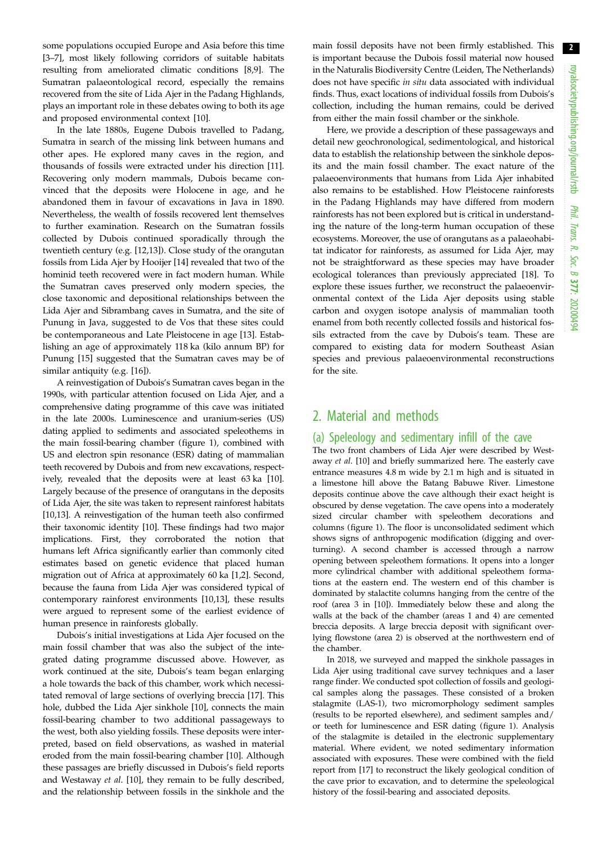some populations occupied Europe and Asia before this time [\[3](#page-8-0)–[7\]](#page-9-0), most likely following corridors of suitable habitats resulting from ameliorated climatic conditions [\[8,9\]](#page-9-0). The Sumatran palaeontological record, especially the remains recovered from the site of Lida Ajer in the Padang Highlands, plays an important role in these debates owing to both its age and proposed environmental context [[10\]](#page-9-0).

In the late 1880s, Eugene Dubois travelled to Padang, Sumatra in search of the missing link between humans and other apes. He explored many caves in the region, and thousands of fossils were extracted under his direction [[11](#page-9-0)]. Recovering only modern mammals, Dubois became convinced that the deposits were Holocene in age, and he abandoned them in favour of excavations in Java in 1890. Nevertheless, the wealth of fossils recovered lent themselves to further examination. Research on the Sumatran fossils collected by Dubois continued sporadically through the twentieth century (e.g. [\[12](#page-9-0),[13\]](#page-9-0)). Close study of the orangutan fossils from Lida Ajer by Hooijer [\[14](#page-9-0)] revealed that two of the hominid teeth recovered were in fact modern human. While the Sumatran caves preserved only modern species, the close taxonomic and depositional relationships between the Lida Ajer and Sibrambang caves in Sumatra, and the site of Punung in Java, suggested to de Vos that these sites could be contemporaneous and Late Pleistocene in age [\[13](#page-9-0)]. Establishing an age of approximately 118 ka (kilo annum BP) for Punung [[15\]](#page-9-0) suggested that the Sumatran caves may be of similar antiquity (e.g. [[16\]](#page-9-0)).

A reinvestigation of Dubois's Sumatran caves began in the 1990s, with particular attention focused on Lida Ajer, and a comprehensive dating programme of this cave was initiated in the late 2000s. Luminescence and uranium-series (US) dating applied to sediments and associated speleothems in the main fossil-bearing chamber ([figure 1](#page-2-0)), combined with US and electron spin resonance (ESR) dating of mammalian teeth recovered by Dubois and from new excavations, respectively, revealed that the deposits were at least 63 ka [\[10](#page-9-0)]. Largely because of the presence of orangutans in the deposits of Lida Ajer, the site was taken to represent rainforest habitats [\[10,13](#page-9-0)]. A reinvestigation of the human teeth also confirmed their taxonomic identity [[10\]](#page-9-0). These findings had two major implications. First, they corroborated the notion that humans left Africa significantly earlier than commonly cited estimates based on genetic evidence that placed human migration out of Africa at approximately 60 ka [[1](#page-8-0),[2](#page-8-0)]. Second, because the fauna from Lida Ajer was considered typical of contemporary rainforest environments [[10,13](#page-9-0)], these results were argued to represent some of the earliest evidence of human presence in rainforests globally.

Dubois's initial investigations at Lida Ajer focused on the main fossil chamber that was also the subject of the integrated dating programme discussed above. However, as work continued at the site, Dubois's team began enlarging a hole towards the back of this chamber, work which necessitated removal of large sections of overlying breccia [[17\]](#page-9-0). This hole, dubbed the Lida Ajer sinkhole [[10\]](#page-9-0), connects the main fossil-bearing chamber to two additional passageways to the west, both also yielding fossils. These deposits were interpreted, based on field observations, as washed in material eroded from the main fossil-bearing chamber [[10\]](#page-9-0). Although these passages are briefly discussed in Dubois's field reports and Westaway et al. [\[10](#page-9-0)], they remain to be fully described, and the relationship between fossils in the sinkhole and the main fossil deposits have not been firmly established. This is important because the Dubois fossil material now housed in the Naturalis Biodiversity Centre (Leiden, The Netherlands) does not have specific in situ data associated with individual finds. Thus, exact locations of individual fossils from Dubois's collection, including the human remains, could be derived from either the main fossil chamber or the sinkhole.

Here, we provide a description of these passageways and detail new geochronological, sedimentological, and historical data to establish the relationship between the sinkhole deposits and the main fossil chamber. The exact nature of the palaeoenvironments that humans from Lida Ajer inhabited also remains to be established. How Pleistocene rainforests in the Padang Highlands may have differed from modern rainforests has not been explored but is critical in understanding the nature of the long-term human occupation of these ecosystems. Moreover, the use of orangutans as a palaeohabitat indicator for rainforests, as assumed for Lida Ajer, may not be straightforward as these species may have broader ecological tolerances than previously appreciated [\[18](#page-9-0)]. To explore these issues further, we reconstruct the palaeoenvironmental context of the Lida Ajer deposits using stable carbon and oxygen isotope analysis of mammalian tooth enamel from both recently collected fossils and historical fossils extracted from the cave by Dubois's team. These are compared to existing data for modern Southeast Asian species and previous palaeoenvironmental reconstructions for the site.

# 2. Material and methods

# (a) Speleology and sedimentary infill of the cave

The two front chambers of Lida Ajer were described by Westaway et al. [[10](#page-9-0)] and briefly summarized here. The easterly cave entrance measures 4.8 m wide by 2.1 m high and is situated in a limestone hill above the Batang Babuwe River. Limestone deposits continue above the cave although their exact height is obscured by dense vegetation. The cave opens into a moderately sized circular chamber with speleothem decorations and columns [\(figure 1\)](#page-2-0). The floor is unconsolidated sediment which shows signs of anthropogenic modification (digging and overturning). A second chamber is accessed through a narrow opening between speleothem formations. It opens into a longer more cylindrical chamber with additional speleothem formations at the eastern end. The western end of this chamber is dominated by stalactite columns hanging from the centre of the roof (area 3 in [\[10\]](#page-9-0)). Immediately below these and along the walls at the back of the chamber (areas 1 and 4) are cemented breccia deposits. A large breccia deposit with significant overlying flowstone (area 2) is observed at the northwestern end of the chamber.

In 2018, we surveyed and mapped the sinkhole passages in Lida Ajer using traditional cave survey techniques and a laser range finder. We conducted spot collection of fossils and geological samples along the passages. These consisted of a broken stalagmite (LAS-1), two micromorphology sediment samples (results to be reported elsewhere), and sediment samples and/ or teeth for luminescence and ESR dating [\(figure 1\)](#page-2-0). Analysis of the stalagmite is detailed in the electronic supplementary material. Where evident, we noted sedimentary information associated with exposures. These were combined with the field report from [[17](#page-9-0)] to reconstruct the likely geological condition of the cave prior to excavation, and to determine the speleological history of the fossil-bearing and associated deposits.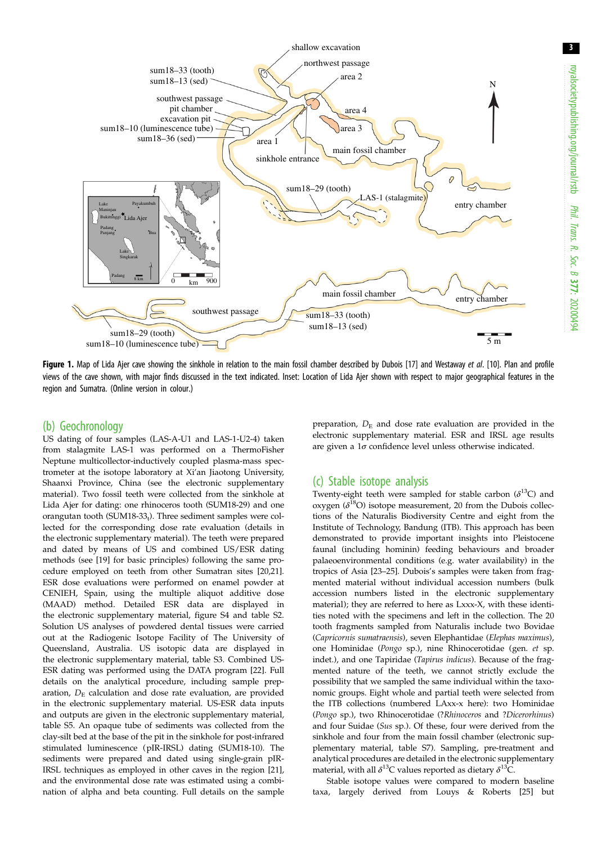<span id="page-2-0"></span>

Figure 1. Map of Lida Ajer cave showing the sinkhole in relation to the main fossil chamber described by Dubois [[17](#page-9-0)] and Westaway et al. [\[10\]](#page-9-0). Plan and profile views of the cave shown, with major finds discussed in the text indicated. Inset: Location of Lida Ajer shown with respect to major geographical features in the region and Sumatra. (Online version in colour.)

## (b) Geochronology

US dating of four samples (LAS-A-U1 and LAS-1-U2-4) taken from stalagmite LAS-1 was performed on a ThermoFisher Neptune multicollector-inductively coupled plasma-mass spectrometer at the isotope laboratory at Xi'an Jiaotong University, Shaanxi Province, China (see the electronic supplementary material). Two fossil teeth were collected from the sinkhole at Lida Ajer for dating: one rhinoceros tooth (SUM18-29) and one orangutan tooth (SUM18-33 $_t$ ). Three sediment samples were collected for the corresponding dose rate evaluation (details in the electronic supplementary material). The teeth were prepared and dated by means of US and combined US/ESR dating methods (see [\[19\]](#page-9-0) for basic principles) following the same procedure employed on teeth from other Sumatran sites [\[20,21\]](#page-9-0). ESR dose evaluations were performed on enamel powder at CENIEH, Spain, using the multiple aliquot additive dose (MAAD) method. Detailed ESR data are displayed in the electronic supplementary material, figure S4 and table S2. Solution US analyses of powdered dental tissues were carried out at the Radiogenic Isotope Facility of The University of Queensland, Australia. US isotopic data are displayed in the electronic supplementary material, table S3. Combined US-ESR dating was performed using the DATA program [\[22\]](#page-9-0). Full details on the analytical procedure, including sample preparation,  $D<sub>E</sub>$  calculation and dose rate evaluation, are provided in the electronic supplementary material. US-ESR data inputs and outputs are given in the electronic supplementary material, table S5. An opaque tube of sediments was collected from the clay-silt bed at the base of the pit in the sinkhole for post-infrared stimulated luminescence (pIR-IRSL) dating (SUM18-10). The sediments were prepared and dated using single-grain pIR-IRSL techniques as employed in other caves in the region [\[21\]](#page-9-0), and the environmental dose rate was estimated using a combination of alpha and beta counting. Full details on the sample preparation,  $D<sub>E</sub>$  and dose rate evaluation are provided in the electronic supplementary material. ESR and IRSL age results are given a  $1\sigma$  confidence level unless otherwise indicated.

### (c) Stable isotope analysis

Twenty-eight teeth were sampled for stable carbon  $(\delta^{13}C)$  and oxygen  $(\delta^{18}O)$  isotope measurement, 20 from the Dubois collections of the Naturalis Biodiversity Centre and eight from the Institute of Technology, Bandung (ITB). This approach has been demonstrated to provide important insights into Pleistocene faunal (including hominin) feeding behaviours and broader palaeoenvironmental conditions (e.g. water availability) in the tropics of Asia [[23](#page-9-0)–[25\]](#page-9-0). Dubois's samples were taken from fragmented material without individual accession numbers (bulk accession numbers listed in the electronic supplementary material); they are referred to here as Lxxx-X, with these identities noted with the specimens and left in the collection. The 20 tooth fragments sampled from Naturalis include two Bovidae (Capricornis sumatraensis), seven Elephantidae (Elephas maximus), one Hominidae (Pongo sp.), nine Rhinocerotidae (gen. et sp. indet.), and one Tapiridae (Tapirus indicus). Because of the fragmented nature of the teeth, we cannot strictly exclude the possibility that we sampled the same individual within the taxonomic groups. Eight whole and partial teeth were selected from the ITB collections (numbered LAxx-x here): two Hominidae (Pongo sp.), two Rhinocerotidae (?Rhinoceros and ?Dicerorhinus) and four Suidae (Sus sp.). Of these, four were derived from the sinkhole and four from the main fossil chamber (electronic supplementary material, table S7). Sampling, pre-treatment and analytical procedures are detailed in the electronic supplementary material, with all  $\delta^{13}$ C values reported as dietary  $\delta^{13}$ C.

Stable isotope values were compared to modern baseline taxa, largely derived from Louys & Roberts [[25](#page-9-0)] but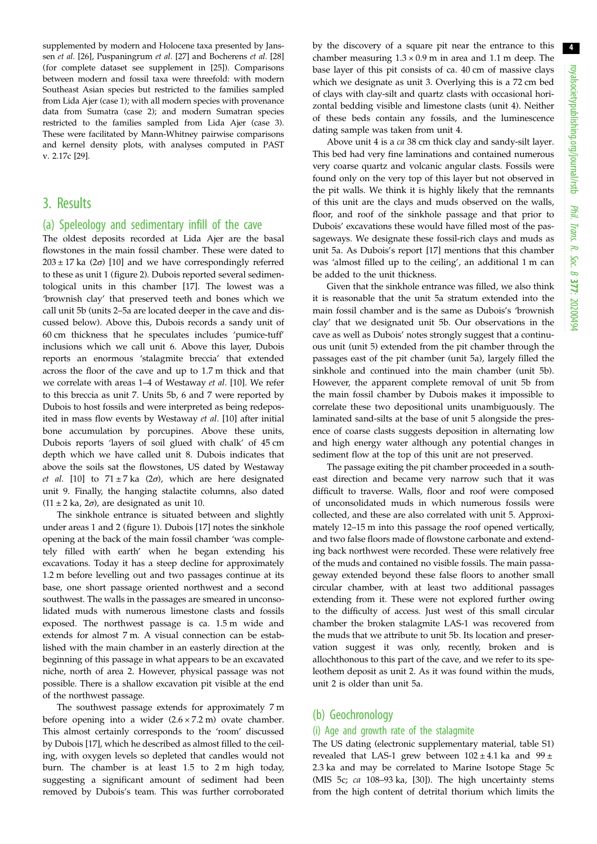supplemented by modern and Holocene taxa presented by Janssen et al. [\[26\]](#page-9-0), Puspaningrum et al. [[27](#page-9-0)] and Bocherens et al. [\[28\]](#page-9-0) (for complete dataset see supplement in [[25](#page-9-0)]). Comparisons between modern and fossil taxa were threefold: with modern Southeast Asian species but restricted to the families sampled from Lida Ajer (case 1); with all modern species with provenance data from Sumatra (case 2); and modern Sumatran species restricted to the families sampled from Lida Ajer (case 3). These were facilitated by Mann-Whitney pairwise comparisons and kernel density plots, with analyses computed in PAST v. 2.17c [\[29\]](#page-9-0).

# 3. Results

#### (a) Speleology and sedimentary infill of the cave

The oldest deposits recorded at Lida Ajer are the basal flowstones in the main fossil chamber. These were dated to  $203 \pm 17$  ka ( $2\sigma$ ) [[10\]](#page-9-0) and we have correspondingly referred to these as unit 1 [\(figure 2\)](#page-4-0). Dubois reported several sedimentological units in this chamber [\[17](#page-9-0)]. The lowest was a 'brownish clay' that preserved teeth and bones which we call unit 5b (units 2–5a are located deeper in the cave and discussed below). Above this, Dubois records a sandy unit of 60 cm thickness that he speculates includes 'pumice-tuff' inclusions which we call unit 6. Above this layer, Dubois reports an enormous 'stalagmite breccia' that extended across the floor of the cave and up to 1.7 m thick and that we correlate with areas 1–4 of Westaway et al. [\[10](#page-9-0)]. We refer to this breccia as unit 7. Units 5b, 6 and 7 were reported by Dubois to host fossils and were interpreted as being redeposited in mass flow events by Westaway et al. [[10\]](#page-9-0) after initial bone accumulation by porcupines. Above these units, Dubois reports 'layers of soil glued with chalk' of 45 cm depth which we have called unit 8. Dubois indicates that above the soils sat the flowstones, US dated by Westaway et al. [[10\]](#page-9-0) to  $71 \pm 7$  ka (2 $\sigma$ ), which are here designated unit 9. Finally, the hanging stalactite columns, also dated  $(11 \pm 2 \text{ ka}, 2\sigma)$ , are designated as unit 10.

The sinkhole entrance is situated between and slightly under areas 1 and 2 ([figure 1\)](#page-2-0). Dubois [[17\]](#page-9-0) notes the sinkhole opening at the back of the main fossil chamber 'was completely filled with earth' when he began extending his excavations. Today it has a steep decline for approximately 1.2 m before levelling out and two passages continue at its base, one short passage oriented northwest and a second southwest. The walls in the passages are smeared in unconsolidated muds with numerous limestone clasts and fossils exposed. The northwest passage is ca. 1.5 m wide and extends for almost 7 m. A visual connection can be established with the main chamber in an easterly direction at the beginning of this passage in what appears to be an excavated niche, north of area 2. However, physical passage was not possible. There is a shallow excavation pit visible at the end of the northwest passage.

The southwest passage extends for approximately 7 m before opening into a wider  $(2.6 \times 7.2 \text{ m})$  ovate chamber. This almost certainly corresponds to the 'room' discussed by Dubois [[17\]](#page-9-0), which he described as almost filled to the ceiling, with oxygen levels so depleted that candles would not burn. The chamber is at least 1.5 to 2 m high today, suggesting a significant amount of sediment had been removed by Dubois's team. This was further corroborated by the discovery of a square pit near the entrance to this chamber measuring  $1.3 \times 0.9$  m in area and 1.1 m deep. The base layer of this pit consists of ca. 40 cm of massive clays which we designate as unit 3. Overlying this is a 72 cm bed of clays with clay-silt and quartz clasts with occasional horizontal bedding visible and limestone clasts (unit 4). Neither of these beds contain any fossils, and the luminescence dating sample was taken from unit 4.

Above unit 4 is a ca 38 cm thick clay and sandy-silt layer. This bed had very fine laminations and contained numerous very coarse quartz and volcanic angular clasts. Fossils were found only on the very top of this layer but not observed in the pit walls. We think it is highly likely that the remnants of this unit are the clays and muds observed on the walls, floor, and roof of the sinkhole passage and that prior to Dubois' excavations these would have filled most of the passageways. We designate these fossil-rich clays and muds as unit 5a. As Dubois's report [[17\]](#page-9-0) mentions that this chamber was 'almost filled up to the ceiling', an additional 1 m can be added to the unit thickness.

Given that the sinkhole entrance was filled, we also think it is reasonable that the unit 5a stratum extended into the main fossil chamber and is the same as Dubois's 'brownish clay' that we designated unit 5b. Our observations in the cave as well as Dubois' notes strongly suggest that a continuous unit (unit 5) extended from the pit chamber through the passages east of the pit chamber (unit 5a), largely filled the sinkhole and continued into the main chamber (unit 5b). However, the apparent complete removal of unit 5b from the main fossil chamber by Dubois makes it impossible to correlate these two depositional units unambiguously. The laminated sand-silts at the base of unit 5 alongside the presence of coarse clasts suggests deposition in alternating low and high energy water although any potential changes in sediment flow at the top of this unit are not preserved.

The passage exiting the pit chamber proceeded in a southeast direction and became very narrow such that it was difficult to traverse. Walls, floor and roof were composed of unconsolidated muds in which numerous fossils were collected, and these are also correlated with unit 5. Approximately 12–15 m into this passage the roof opened vertically, and two false floors made of flowstone carbonate and extending back northwest were recorded. These were relatively free of the muds and contained no visible fossils. The main passageway extended beyond these false floors to another small circular chamber, with at least two additional passages extending from it. These were not explored further owing to the difficulty of access. Just west of this small circular chamber the broken stalagmite LAS-1 was recovered from the muds that we attribute to unit 5b. Its location and preservation suggest it was only, recently, broken and is allochthonous to this part of the cave, and we refer to its speleothem deposit as unit 2. As it was found within the muds, unit 2 is older than unit 5a.

#### (b) Geochronology

#### (i) Age and growth rate of the stalagmite

The US dating (electronic supplementary material, table S1) revealed that LAS-1 grew between  $102 \pm 4.1$  ka and  $99 \pm$ 2.3 ka and may be correlated to Marine Isotope Stage 5c (MIS 5c; ca 108–93 ka, [\[30](#page-9-0)]). The high uncertainty stems from the high content of detrital thorium which limits the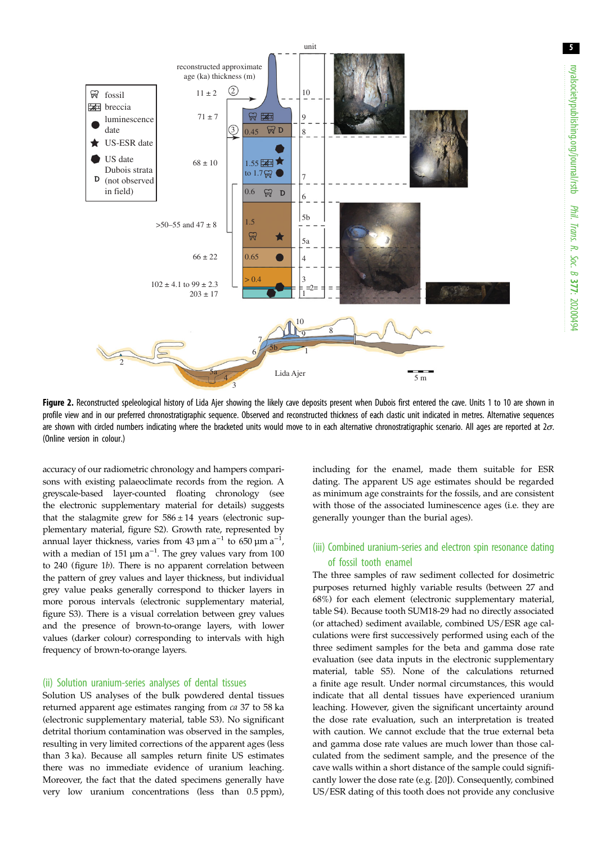<span id="page-4-0"></span>

Figure 2. Reconstructed speleological history of Lida Aier showing the likely cave deposits present when Dubois first entered the cave. Units 1 to 10 are shown in profile view and in our preferred chronostratigraphic sequence. Observed and reconstructed thickness of each clastic unit indicated in metres. Alternative sequences are shown with circled numbers indicating where the bracketed units would move to in each alternative chronostratigraphic scenario. All ages are reported at  $2\sigma$ . (Online version in colour.)

accuracy of our radiometric chronology and hampers comparisons with existing palaeoclimate records from the region. A greyscale-based layer-counted floating chronology (see the electronic supplementary material for details) suggests that the stalagmite grew for  $586 \pm 14$  years (electronic supplementary material, figure S2). Growth rate, represented by annual layer thickness, varies from 43  $\mu$ m a $^{-1}$  to 650  $\mu$ m a $^{-1}$ , with a median of 151  $\mu$ m a<sup>-1</sup>. The grey values vary from 100 to 240 ([figure 1](#page-2-0)b). There is no apparent correlation between the pattern of grey values and layer thickness, but individual grey value peaks generally correspond to thicker layers in more porous intervals (electronic supplementary material, figure S3). There is a visual correlation between grey values and the presence of brown-to-orange layers, with lower values (darker colour) corresponding to intervals with high frequency of brown-to-orange layers.

#### (ii) Solution uranium-series analyses of dental tissues

Solution US analyses of the bulk powdered dental tissues returned apparent age estimates ranging from ca 37 to 58 ka (electronic supplementary material, table S3). No significant detrital thorium contamination was observed in the samples, resulting in very limited corrections of the apparent ages (less than 3 ka). Because all samples return finite US estimates there was no immediate evidence of uranium leaching. Moreover, the fact that the dated specimens generally have very low uranium concentrations (less than 0.5 ppm),

including for the enamel, made them suitable for ESR dating. The apparent US age estimates should be regarded as minimum age constraints for the fossils, and are consistent with those of the associated luminescence ages (i.e. they are generally younger than the burial ages).

#### (iii) Combined uranium-series and electron spin resonance dating of fossil tooth enamel

The three samples of raw sediment collected for dosimetric purposes returned highly variable results (between 27 and 68%) for each element (electronic supplementary material, table S4). Because tooth SUM18-29 had no directly associated (or attached) sediment available, combined US/ESR age calculations were first successively performed using each of the three sediment samples for the beta and gamma dose rate evaluation (see data inputs in the electronic supplementary material, table S5). None of the calculations returned a finite age result. Under normal circumstances, this would indicate that all dental tissues have experienced uranium leaching. However, given the significant uncertainty around the dose rate evaluation, such an interpretation is treated with caution. We cannot exclude that the true external beta and gamma dose rate values are much lower than those calculated from the sediment sample, and the presence of the cave walls within a short distance of the sample could significantly lower the dose rate (e.g. [[20\]](#page-9-0)). Consequently, combined US/ESR dating of this tooth does not provide any conclusive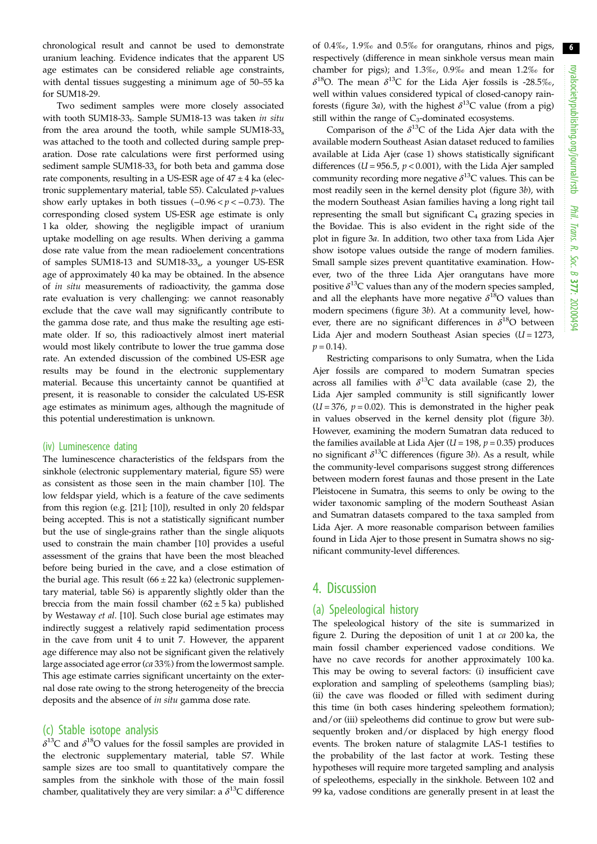chronological result and cannot be used to demonstrate uranium leaching. Evidence indicates that the apparent US age estimates can be considered reliable age constraints, with dental tissues suggesting a minimum age of 50–55 ka for SUM18-29.

Two sediment samples were more closely associated with tooth SUM18-33<sub>t</sub>. Sample SUM18-13 was taken in situ from the area around the tooth, while sample SUM18-33 $_{\rm s}$ was attached to the tooth and collected during sample preparation. Dose rate calculations were first performed using sediment sample SUM18-33 $_{\rm s}$  for both beta and gamma dose rate components, resulting in a US-ESR age of  $47 \pm 4$  ka (electronic supplementary material, table S5). Calculated  $p$ -values show early uptakes in both tissues  $(-0.96 < p < -0.73)$ . The corresponding closed system US-ESR age estimate is only 1 ka older, showing the negligible impact of uranium uptake modelling on age results. When deriving a gamma dose rate value from the mean radioelement concentrations of samples SUM18-13 and SUM18-33<sub>s</sub>, a younger US-ESR age of approximately 40 ka may be obtained. In the absence of in situ measurements of radioactivity, the gamma dose rate evaluation is very challenging: we cannot reasonably exclude that the cave wall may significantly contribute to the gamma dose rate, and thus make the resulting age estimate older. If so, this radioactively almost inert material would most likely contribute to lower the true gamma dose rate. An extended discussion of the combined US-ESR age results may be found in the electronic supplementary material. Because this uncertainty cannot be quantified at present, it is reasonable to consider the calculated US-ESR age estimates as minimum ages, although the magnitude of this potential underestimation is unknown.

#### (iv) Luminescence dating

The luminescence characteristics of the feldspars from the sinkhole (electronic supplementary material, figure S5) were as consistent as those seen in the main chamber [\[10](#page-9-0)]. The low feldspar yield, which is a feature of the cave sediments from this region (e.g. [[21\]](#page-9-0); [[10\]](#page-9-0)), resulted in only 20 feldspar being accepted. This is not a statistically significant number but the use of single-grains rather than the single aliquots used to constrain the main chamber [\[10](#page-9-0)] provides a useful assessment of the grains that have been the most bleached before being buried in the cave, and a close estimation of the burial age. This result  $(66 \pm 22 \text{ ka})$  (electronic supplementary material, table S6) is apparently slightly older than the breccia from the main fossil chamber  $(62 \pm 5 \text{ ka})$  published by Westaway et al. [\[10](#page-9-0)]. Such close burial age estimates may indirectly suggest a relatively rapid sedimentation process in the cave from unit 4 to unit 7. However, the apparent age difference may also not be significant given the relatively large associated age error (ca 33%) from the lowermost sample. This age estimate carries significant uncertainty on the external dose rate owing to the strong heterogeneity of the breccia deposits and the absence of in situ gamma dose rate.

#### (c) Stable isotope analysis

 $\delta^{13}$ C and  $\delta^{18}$ O values for the fossil samples are provided in the electronic supplementary material, table S7. While sample sizes are too small to quantitatively compare the samples from the sinkhole with those of the main fossil chamber, qualitatively they are very similar: a  $\delta^{13}$ C difference of 0.4‰, 1.9‰ and 0.5‰ for orangutans, rhinos and pigs, respectively (difference in mean sinkhole versus mean main chamber for pigs); and 1.3‰, 0.9‰ and mean 1.2‰ for  $\delta^{18}$ O. The mean  $\delta^{13}$ C for the Lida Ajer fossils is -28.5‰, well within values considered typical of closed-canopy rainforests ([figure 3](#page-6-0)*a*), with the highest  $\delta^{13}$ C value (from a pig) still within the range of  $C_3$ -dominated ecosystems.

Comparison of the  $\delta^{13}$ C of the Lida Ajer data with the available modern Southeast Asian dataset reduced to families available at Lida Ajer (case 1) shows statistically significant differences ( $U = 956.5$ ,  $p < 0.001$ ), with the Lida Ajer sampled community recording more negative  $\delta^{13}$ C values. This can be most readily seen in the kernel density plot [\(figure 3](#page-6-0)b), with the modern Southeast Asian families having a long right tail representing the small but significant  $C_4$  grazing species in the Bovidae. This is also evident in the right side of the plot in [figure 3](#page-6-0)a. In addition, two other taxa from Lida Ajer show isotope values outside the range of modern families. Small sample sizes prevent quantitative examination. However, two of the three Lida Ajer orangutans have more positive  $\delta^{13}$ C values than any of the modern species sampled, and all the elephants have more negative  $\delta^{18}O$  values than modern specimens ([figure 3](#page-6-0)b). At a community level, however, there are no significant differences in  $\delta^{18}O$  between Lida Ajer and modern Southeast Asian species  $(U = 1273,$  $p = 0.14$ .

Restricting comparisons to only Sumatra, when the Lida Ajer fossils are compared to modern Sumatran species across all families with  $\delta^{13}$ C data available (case 2), the Lida Ajer sampled community is still significantly lower  $(U = 376, p = 0.02)$ . This is demonstrated in the higher peak in values observed in the kernel density plot [\(figure 3](#page-6-0)b). However, examining the modern Sumatran data reduced to the families available at Lida Ajer ( $U = 198$ ,  $p = 0.35$ ) produces no significant  $\delta^{13}$ C differences [\(figure 3](#page-6-0)b). As a result, while the community-level comparisons suggest strong differences between modern forest faunas and those present in the Late Pleistocene in Sumatra, this seems to only be owing to the wider taxonomic sampling of the modern Southeast Asian and Sumatran datasets compared to the taxa sampled from Lida Ajer. A more reasonable comparison between families found in Lida Ajer to those present in Sumatra shows no significant community-level differences.

# 4. Discussion

#### (a) Speleological history

The speleological history of the site is summarized in [figure 2.](#page-4-0) During the deposition of unit 1 at ca 200 ka, the main fossil chamber experienced vadose conditions. We have no cave records for another approximately 100 ka. This may be owing to several factors: (i) insufficient cave exploration and sampling of speleothems (sampling bias); (ii) the cave was flooded or filled with sediment during this time (in both cases hindering speleothem formation); and/or (iii) speleothems did continue to grow but were subsequently broken and/or displaced by high energy flood events. The broken nature of stalagmite LAS-1 testifies to the probability of the last factor at work. Testing these hypotheses will require more targeted sampling and analysis of speleothems, especially in the sinkhole. Between 102 and 99 ka, vadose conditions are generally present in at least the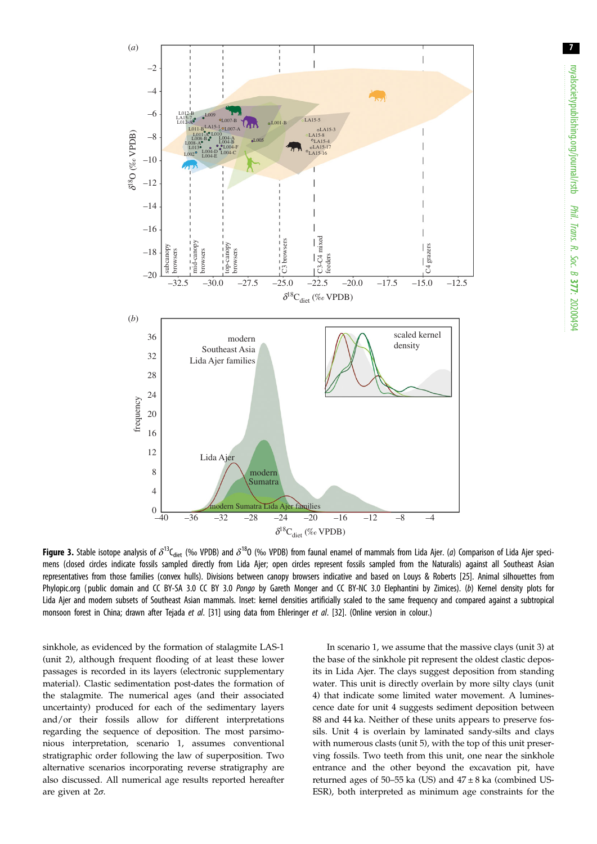<span id="page-6-0"></span>

**Figure 3.** Stable isotope analysis of  $\delta^{13}C_{\text{dict}}$  (% VPDB) and  $\delta^{18}O$  (% VPDB) from faunal enamel of mammals from Lida Ajer. (a) Comparison of Lida Ajer specimens (closed circles indicate fossils sampled directly from Lida Ajer; open circles represent fossils sampled from the Naturalis) against all Southeast Asian representatives from those families (convex hulls). Divisions between canopy browsers indicative and based on Louys & Roberts [[25\]](#page-9-0). Animal silhouettes from Phylopic.org ( public domain and CC BY-SA 3.0 CC BY 3.0 Pongo by Gareth Monger and CC BY-NC 3.0 Elephantini by Zimices). (b) Kernel density plots for Lida Ajer and modern subsets of Southeast Asian mammals. Inset: kernel densities artificially scaled to the same frequency and compared against a subtropical monsoon forest in China; drawn after Teiada et al. [\[31\]](#page-9-0) using data from Ehleringer et al. [[32](#page-9-0)]. (Online version in colour.)

sinkhole, as evidenced by the formation of stalagmite LAS-1 (unit 2), although frequent flooding of at least these lower passages is recorded in its layers (electronic supplementary material). Clastic sedimentation post-dates the formation of the stalagmite. The numerical ages (and their associated uncertainty) produced for each of the sedimentary layers and/or their fossils allow for different interpretations regarding the sequence of deposition. The most parsimonious interpretation, scenario 1, assumes conventional stratigraphic order following the law of superposition. Two alternative scenarios incorporating reverse stratigraphy are also discussed. All numerical age results reported hereafter are given at 2σ.

In scenario 1, we assume that the massive clays (unit 3) at the base of the sinkhole pit represent the oldest clastic deposits in Lida Ajer. The clays suggest deposition from standing water. This unit is directly overlain by more silty clays (unit 4) that indicate some limited water movement. A luminescence date for unit 4 suggests sediment deposition between 88 and 44 ka. Neither of these units appears to preserve fossils. Unit 4 is overlain by laminated sandy-silts and clays with numerous clasts (unit 5), with the top of this unit preserving fossils. Two teeth from this unit, one near the sinkhole entrance and the other beyond the excavation pit, have returned ages of 50–55 ka (US) and  $47 \pm 8$  ka (combined US-ESR), both interpreted as minimum age constraints for the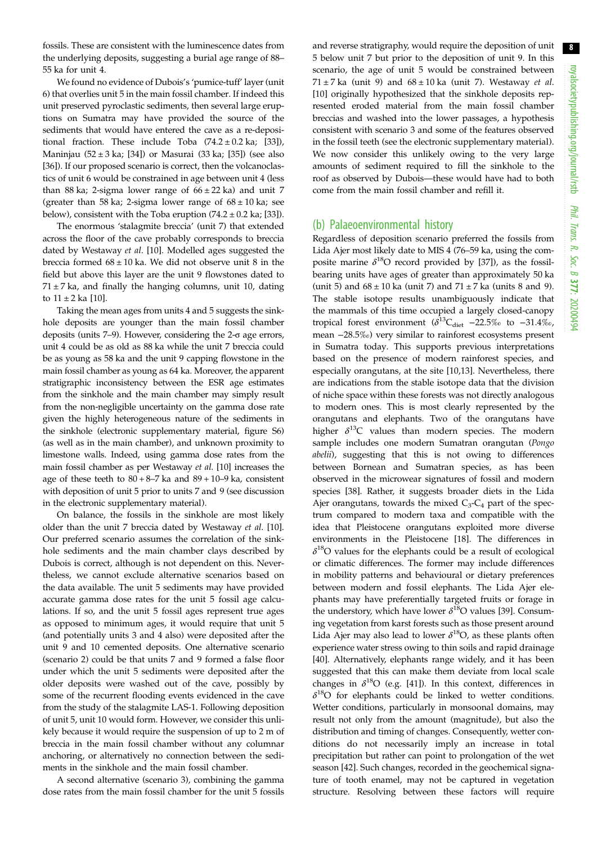8

fossils. These are consistent with the luminescence dates from the underlying deposits, suggesting a burial age range of 88– 55 ka for unit 4.

We found no evidence of Dubois's 'pumice-tuff' layer (unit 6) that overlies unit 5 in the main fossil chamber. If indeed this unit preserved pyroclastic sediments, then several large eruptions on Sumatra may have provided the source of the sediments that would have entered the cave as a re-depositional fraction. These include Toba  $(74.2 \pm 0.2 \text{ ka}; [33])$  $(74.2 \pm 0.2 \text{ ka}; [33])$  $(74.2 \pm 0.2 \text{ ka}; [33])$ , Maninjau (52 ± 3 ka; [\[34](#page-9-0)]) or Masurai (33 ka; [\[35](#page-9-0)]) (see also [\[36](#page-9-0)]). If our proposed scenario is correct, then the volcanoclastics of unit 6 would be constrained in age between unit 4 (less than 88 ka; 2-sigma lower range of  $66 \pm 22$  ka) and unit 7 (greater than 58 ka; 2-sigma lower range of  $68 \pm 10$  ka; see below), consistent with the Toba eruption  $(74.2 \pm 0.2 \text{ k}a)$ ; [\[33](#page-9-0)]).

The enormous 'stalagmite breccia' (unit 7) that extended across the floor of the cave probably corresponds to breccia dated by Westaway et al. [\[10](#page-9-0)]. Modelled ages suggested the breccia formed  $68 \pm 10$  ka. We did not observe unit 8 in the field but above this layer are the unit 9 flowstones dated to  $71 \pm 7$  ka, and finally the hanging columns, unit 10, dating to  $11 \pm 2$  ka [[10\]](#page-9-0).

Taking the mean ages from units 4 and 5 suggests the sinkhole deposits are younger than the main fossil chamber deposits (units 7–9). However, considering the 2-σ age errors, unit 4 could be as old as 88 ka while the unit 7 breccia could be as young as 58 ka and the unit 9 capping flowstone in the main fossil chamber as young as 64 ka. Moreover, the apparent stratigraphic inconsistency between the ESR age estimates from the sinkhole and the main chamber may simply result from the non-negligible uncertainty on the gamma dose rate given the highly heterogeneous nature of the sediments in the sinkhole (electronic supplementary material, figure S6) (as well as in the main chamber), and unknown proximity to limestone walls. Indeed, using gamma dose rates from the main fossil chamber as per Westaway et al. [[10\]](#page-9-0) increases the age of these teeth to  $80 + 8 - 7$  ka and  $89 + 10 - 9$  ka, consistent with deposition of unit 5 prior to units 7 and 9 (see discussion in the electronic supplementary material).

On balance, the fossils in the sinkhole are most likely older than the unit 7 breccia dated by Westaway et al. [\[10](#page-9-0)]. Our preferred scenario assumes the correlation of the sinkhole sediments and the main chamber clays described by Dubois is correct, although is not dependent on this. Nevertheless, we cannot exclude alternative scenarios based on the data available. The unit 5 sediments may have provided accurate gamma dose rates for the unit 5 fossil age calculations. If so, and the unit 5 fossil ages represent true ages as opposed to minimum ages, it would require that unit 5 (and potentially units 3 and 4 also) were deposited after the unit 9 and 10 cemented deposits. One alternative scenario (scenario 2) could be that units 7 and 9 formed a false floor under which the unit 5 sediments were deposited after the older deposits were washed out of the cave, possibly by some of the recurrent flooding events evidenced in the cave from the study of the stalagmite LAS-1. Following deposition of unit 5, unit 10 would form. However, we consider this unlikely because it would require the suspension of up to 2 m of breccia in the main fossil chamber without any columnar anchoring, or alternatively no connection between the sediments in the sinkhole and the main fossil chamber.

A second alternative (scenario 3), combining the gamma dose rates from the main fossil chamber for the unit 5 fossils and reverse stratigraphy, would require the deposition of unit 5 below unit 7 but prior to the deposition of unit 9. In this scenario, the age of unit 5 would be constrained between  $71 \pm 7$  ka (unit 9) and  $68 \pm 10$  ka (unit 7). Westaway et al. [[10\]](#page-9-0) originally hypothesized that the sinkhole deposits represented eroded material from the main fossil chamber breccias and washed into the lower passages, a hypothesis consistent with scenario 3 and some of the features observed in the fossil teeth (see the electronic supplementary material). We now consider this unlikely owing to the very large amounts of sediment required to fill the sinkhole to the roof as observed by Dubois—these would have had to both come from the main fossil chamber and refill it.

#### (b) Palaeoenvironmental history

Regardless of deposition scenario preferred the fossils from Lida Ajer most likely date to MIS 4 (76–59 ka, using the composite marine  $\delta^{18}O$  record provided by [[37\]](#page-9-0)), as the fossilbearing units have ages of greater than approximately 50 ka (unit 5) and  $68 \pm 10$  ka (unit 7) and  $71 \pm 7$  ka (units 8 and 9). The stable isotope results unambiguously indicate that the mammals of this time occupied a largely closed-canopy tropical forest environment ( $\delta^{13}C_{\text{dist}}$  –22.5‰ to –31.4‰, mean −28.5‰) very similar to rainforest ecosystems present in Sumatra today. This supports previous interpretations based on the presence of modern rainforest species, and especially orangutans, at the site [\[10](#page-9-0),[13\]](#page-9-0). Nevertheless, there are indications from the stable isotope data that the division of niche space within these forests was not directly analogous to modern ones. This is most clearly represented by the orangutans and elephants. Two of the orangutans have higher  $\delta^{13}$ C values than modern species. The modern sample includes one modern Sumatran orangutan (Pongo abelii), suggesting that this is not owing to differences between Bornean and Sumatran species, as has been observed in the microwear signatures of fossil and modern species [\[38](#page-9-0)]. Rather, it suggests broader diets in the Lida Ajer orangutans, towards the mixed  $C_3-C_4$  part of the spectrum compared to modern taxa and compatible with the idea that Pleistocene orangutans exploited more diverse environments in the Pleistocene [[18\]](#page-9-0). The differences in  $\delta^{18}$ O values for the elephants could be a result of ecological or climatic differences. The former may include differences in mobility patterns and behavioural or dietary preferences between modern and fossil elephants. The Lida Ajer elephants may have preferentially targeted fruits or forage in the understory, which have lower  $\delta^{18}$ O values [[39\]](#page-9-0). Consuming vegetation from karst forests such as those present around Lida Ajer may also lead to lower  $\delta^{18}O$ , as these plants often experience water stress owing to thin soils and rapid drainage [[40\]](#page-9-0). Alternatively, elephants range widely, and it has been suggested that this can make them deviate from local scale changes in  $\delta^{18}O$  (e.g. [\[41](#page-9-0)]). In this context, differences in  $\delta^{18}$ O for elephants could be linked to wetter conditions. Wetter conditions, particularly in monsoonal domains, may result not only from the amount (magnitude), but also the distribution and timing of changes. Consequently, wetter conditions do not necessarily imply an increase in total precipitation but rather can point to prolongation of the wet season [\[42](#page-9-0)]. Such changes, recorded in the geochemical signature of tooth enamel, may not be captured in vegetation structure. Resolving between these factors will require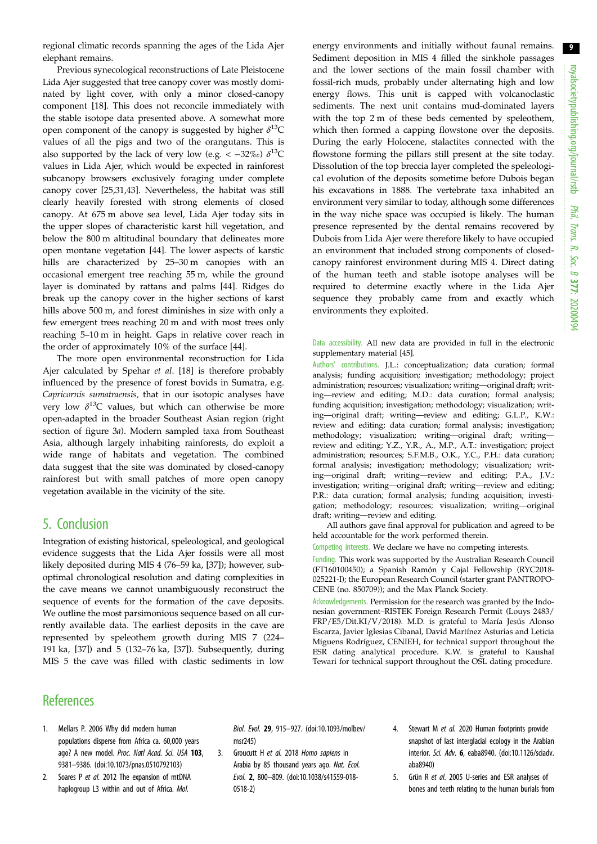<span id="page-8-0"></span>regional climatic records spanning the ages of the Lida Ajer elephant remains.

Previous synecological reconstructions of Late Pleistocene Lida Ajer suggested that tree canopy cover was mostly dominated by light cover, with only a minor closed-canopy component [\[18](#page-9-0)]. This does not reconcile immediately with the stable isotope data presented above. A somewhat more open component of the canopy is suggested by higher  $\delta^{13}C$ values of all the pigs and two of the orangutans. This is also supported by the lack of very low (e.g. <  $-32\%$ )  $\delta^{13}C$ values in Lida Ajer, which would be expected in rainforest subcanopy browsers exclusively foraging under complete canopy cover [[25,31,43](#page-9-0)]. Nevertheless, the habitat was still clearly heavily forested with strong elements of closed canopy. At 675 m above sea level, Lida Ajer today sits in the upper slopes of characteristic karst hill vegetation, and below the 800 m altitudinal boundary that delineates more open montane vegetation [[44\]](#page-9-0). The lower aspects of karstic hills are characterized by 25–30 m canopies with an occasional emergent tree reaching 55 m, while the ground layer is dominated by rattans and palms [[44\]](#page-9-0). Ridges do break up the canopy cover in the higher sections of karst hills above 500 m, and forest diminishes in size with only a few emergent trees reaching 20 m and with most trees only reaching 5–10 m in height. Gaps in relative cover reach in the order of approximately 10% of the surface [\[44](#page-9-0)].

The more open environmental reconstruction for Lida Ajer calculated by Spehar et al. [\[18](#page-9-0)] is therefore probably influenced by the presence of forest bovids in Sumatra, e.g. Capricornis sumatraensis, that in our isotopic analyses have very low  $\delta^{13}C$  values, but which can otherwise be more open-adapted in the broader Southeast Asian region (right section of [figure 3](#page-6-0)a). Modern sampled taxa from Southeast Asia, although largely inhabiting rainforests, do exploit a wide range of habitats and vegetation. The combined data suggest that the site was dominated by closed-canopy rainforest but with small patches of more open canopy vegetation available in the vicinity of the site.

# 5. Conclusion

Integration of existing historical, speleological, and geological evidence suggests that the Lida Ajer fossils were all most likely deposited during MIS 4 (76–59 ka, [[37\]](#page-9-0)); however, suboptimal chronological resolution and dating complexities in the cave means we cannot unambiguously reconstruct the sequence of events for the formation of the cave deposits. We outline the most parsimonious sequence based on all currently available data. The earliest deposits in the cave are represented by speleothem growth during MIS 7 (224– 191 ka, [\[37](#page-9-0)]) and 5 (132–76 ka, [\[37](#page-9-0)]). Subsequently, during MIS 5 the cave was filled with clastic sediments in low

energy environments and initially without faunal remains. Sediment deposition in MIS 4 filled the sinkhole passages and the lower sections of the main fossil chamber with fossil-rich muds, probably under alternating high and low energy flows. This unit is capped with volcanoclastic sediments. The next unit contains mud-dominated layers with the top 2 m of these beds cemented by speleothem, which then formed a capping flowstone over the deposits. During the early Holocene, stalactites connected with the flowstone forming the pillars still present at the site today. Dissolution of the top breccia layer completed the speleological evolution of the deposits sometime before Dubois began his excavations in 1888. The vertebrate taxa inhabited an environment very similar to today, although some differences in the way niche space was occupied is likely. The human presence represented by the dental remains recovered by Dubois from Lida Ajer were therefore likely to have occupied an environment that included strong components of closedcanopy rainforest environment during MIS 4. Direct dating of the human teeth and stable isotope analyses will be required to determine exactly where in the Lida Ajer sequence they probably came from and exactly which environments they exploited.

Data accessibility. All new data are provided in full in the electronic supplementary material [\[45](#page-9-0)].

Authors' contributions. J.L.: conceptualization; data curation; formal analysis; funding acquisition; investigation; methodology; project administration; resources; visualization; writing—original draft; writing—review and editing; M.D.: data curation; formal analysis; funding acquisition; investigation; methodology; visualization; writing—original draft; writing—review and editing; G.L.P., K.W.: review and editing; data curation; formal analysis; investigation; methodology; visualization; writing—original draft; writing review and editing; Y.Z., Y.R., A., M.P., A.T.: investigation; project administration; resources; S.F.M.B., O.K., Y.C., P.H.: data curation; formal analysis; investigation; methodology; visualization; writing—original draft; writing—review and editing; P.A., J.V.: investigation; writing—original draft; writing—review and editing; P.R.: data curation; formal analysis; funding acquisition; investigation; methodology; resources; visualization; writing—original draft; writing—review and editing.

All authors gave final approval for publication and agreed to be held accountable for the work performed therein.

Competing interests. We declare we have no competing interests.

Funding. This work was supported by the Australian Research Council (FT160100450); a Spanish Ramón y Cajal Fellowship (RYC2018- 025221-I); the European Research Council (starter grant PANTROPO-CENE (no. 850709)); and the Max Planck Society.

Acknowledgements. Permission for the research was granted by the Indonesian government–RISTEK Foreign Research Permit (Louys 2483/ FRP/E5/Dit.KI/V/2018). M.D. is grateful to María Jesús Alonso Escarza, Javier Iglesias Cibanal, David Martínez Asturias and Leticia Miguens Rodríguez, CENIEH, for technical support throughout the ESR dating analytical procedure. K.W. is grateful to Kaushal Tewari for technical support throughout the OSL dating procedure.

# **References**

- 1. Mellars P. 2006 Why did modern human populations disperse from Africa ca. 60,000 years ago? A new model. Proc. Natl Acad. Sci. USA 103, 9381–9386. [\(doi:10.1073/pnas.0510792103](http://dx.doi.org/10.1073/pnas.0510792103))
- 2. Soares P et al. 2012 The expansion of mtDNA haplogroup L3 within and out of Africa. Mol.

Biol. Evol. 29, 915–927. [\(doi:10.1093/molbev/](http://dx.doi.org/10.1093/molbev/msr245) [msr245](http://dx.doi.org/10.1093/molbev/msr245))

- 3. Groucutt H et al. 2018 Homo sapiens in Arabia by 85 thousand years ago. Nat. Ecol. Evol. 2, 800–809. [\(doi:10.1038/s41559-018-](http://dx.doi.org/10.1038/s41559-018-0518-2) [0518-2](http://dx.doi.org/10.1038/s41559-018-0518-2))
- 4. Stewart M et al. 2020 Human footprints provide snapshot of last interglacial ecology in the Arabian interior. Sci. Adv. 6, eaba8940. ([doi:10.1126/sciadv.](http://dx.doi.org/10.1126/sciadv.aba8940) [aba8940](http://dx.doi.org/10.1126/sciadv.aba8940))
- 5. Grün R et al. 2005 U-series and ESR analyses of bones and teeth relating to the human burials from